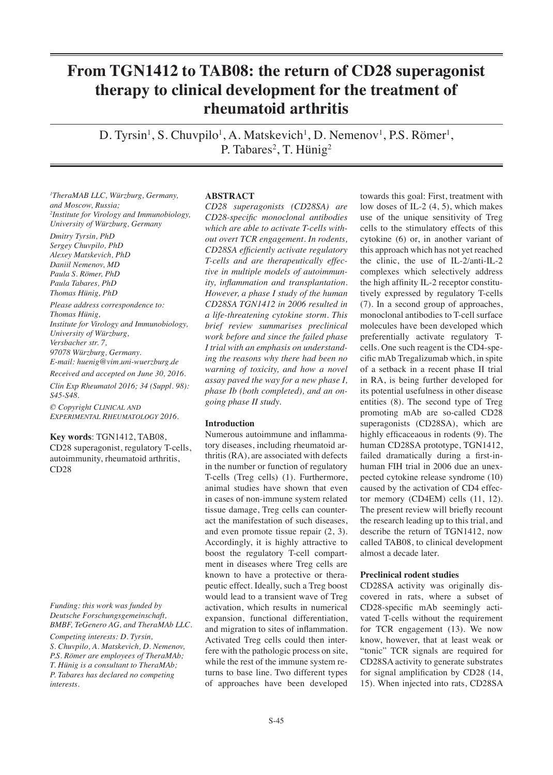# **From TGN1412 to TAB08: the return of CD28 superagonist therapy to clinical development for the treatment of rheumatoid arthritis**

D. Tyrsin<sup>1</sup>, S. Chuvpilo<sup>1</sup>, A. Matskevich<sup>1</sup>, D. Nemenov<sup>1</sup>, P.S. Römer<sup>1</sup>, P. Tabares<sup>2</sup>, T. Hünig<sup>2</sup>

*1 TheraMAB LLC, Würzburg, Germany, and Moscow, Russia; 2 Institute for Virology and Immunobiology, University of Würzburg, Germany*

*Dmitry Tyrsin, PhD Sergey Chuvpilo, PhD Alexey Matskevich, PhD Daniil Nemenov, MD Paula S. Römer, PhD Paula Tabares, PhD Thomas Hünig, PhD*

*Please address correspondence to: Thomas Hünig, Institute for Virology and Immunobiology, University of Würzburg, Versbacher str. 7, 97078 Würzburg, Germany. E-mail: huenig@vim.uni-wuerzburg.de*

*Received and accepted on June 30, 2016. Clin Exp Rheumatol 2016; 34 (Suppl. 98): S45-S48.*

*© Copyright Clinical and Experimental Rheumatology 2016.*

**Key words**: TGN1412, TAB08, CD28 superagonist, regulatory T-cells, autoimmunity, rheumatoid arthritis, CD28

*Funding: this work was funded by Deutsche Forschungsgemeinschaft, BMBF, TeGenero AG, and TheraMAb LLC.*

*Competing interests: D. Tyrsin, S. Chuvpilo, A. Matskevich, D. Nemenov, P.S. Römer are employees of TheraMAb; T. Hünig is a consultant to TheraMAb; P. Tabares has declared no competing interests.*

# **ABSTRACT**

*CD28 superagonists (CD28SA) are CD28-specific monoclonal antibodies which are able to activate T-cells without overt TCR engagement. In rodents, CD28SA efficiently activate regulatory T-cells and are therapeutically effective in multiple models of autoimmunity, inflammation and transplantation. However, a phase I study of the human CD28SA TGN1412 in 2006 resulted in a life-threatening cytokine storm. This brief review summarises preclinical work before and since the failed phase I trial with an emphasis on understanding the reasons why there had been no warning of toxicity, and how a novel assay paved the way for a new phase I, phase Ib (both completed), and an ongoing phase II study.* 

## **Introduction**

Numerous autoimmune and inflammatory diseases, including rheumatoid arthritis (RA), are associated with defects in the number or function of regulatory T-cells (Treg cells) (1). Furthermore, animal studies have shown that even in cases of non-immune system related tissue damage, Treg cells can counteract the manifestation of such diseases, and even promote tissue repair (2, 3). Accordingly, it is highly attractive to boost the regulatory T-cell compartment in diseases where Treg cells are known to have a protective or therapeutic effect. Ideally, such a Treg boost would lead to a transient wave of Treg activation, which results in numerical expansion, functional differentiation, and migration to sites of inflammation. Activated Treg cells could then interfere with the pathologic process on site, while the rest of the immune system returns to base line. Two different types of approaches have been developed

towards this goal: First, treatment with low doses of IL-2 (4, 5), which makes use of the unique sensitivity of Treg cells to the stimulatory effects of this cytokine (6) or, in another variant of this approach which has not yet reached the clinic, the use of IL-2/anti-IL-2 complexes which selectively address the high affinity IL-2 receptor constitutively expressed by regulatory T-cells (7). In a second group of approaches, monoclonal antibodies to T-cell surface molecules have been developed which preferentially activate regulatory Tcells. One such reagent is the CD4-specific mAb Tregalizumab which, in spite of a setback in a recent phase II trial in RA, is being further developed for its potential usefulness in other disease entities (8). The second type of Treg promoting mAb are so-called CD28 superagonists (CD28SA), which are highly efficaceaous in rodents (9). The human CD28SA prototype, TGN1412, failed dramatically during a first-inhuman FIH trial in 2006 due an unexpected cytokine release syndrome (10) caused by the activation of CD4 effector memory (CD4EM) cells (11, 12). The present review will briefly recount the research leading up to this trial, and describe the return of TGN1412, now called TAB08, to clinical development almost a decade later.

### **Preclinical rodent studies**

CD28SA activity was originally discovered in rats, where a subset of CD28-specific mAb seemingly activated T-cells without the requirement for TCR engagement (13). We now know, however, that at least weak or "tonic" TCR signals are required for CD28SA activity to generate substrates for signal amplification by CD28 (14, 15). When injected into rats, CD28SA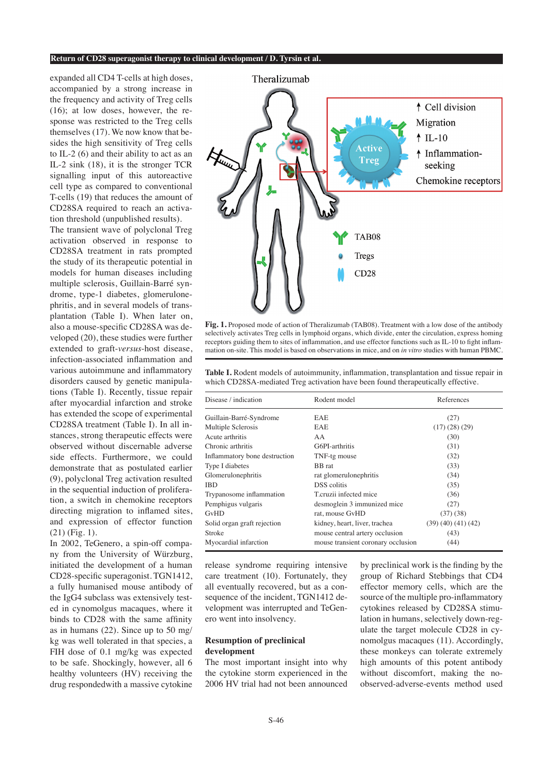#### **Return of CD28 superagonist therapy to clinical development / D. Tyrsin et al.**

expanded all CD4 T-cells at high doses, accompanied by a strong increase in the frequency and activity of Treg cells (16); at low doses, however, the response was restricted to the Treg cells themselves (17). We now know that besides the high sensitivity of Treg cells to IL-2 (6) and their ability to act as an IL-2 sink (18), it is the stronger TCR signalling input of this autoreactive cell type as compared to conventional T-cells (19) that reduces the amount of CD28SA required to reach an activation threshold (unpublished results).

The transient wave of polyclonal Treg activation observed in response to CD28SA treatment in rats prompted the study of its therapeutic potential in models for human diseases including multiple sclerosis, Guillain-Barré syndrome, type-1 diabetes, glomerulonephritis, and in several models of transplantation (Table I). When later on, also a mouse-specific CD28SA was developed (20), these studies were further extended to graft-*versus*-host disease, infection-associated inflammation and various autoimmune and inflammatory disorders caused by genetic manipulations (Table I). Recently, tissue repair after myocardial infarction and stroke has extended the scope of experimental CD28SA treatment (Table I). In all instances, strong therapeutic effects were observed without discernable adverse side effects. Furthermore, we could demonstrate that as postulated earlier (9), polyclonal Treg activation resulted in the sequential induction of proliferation, a switch in chemokine receptors directing migration to inflamed sites, and expression of effector function (21) (Fig. 1).

In 2002, TeGenero, a spin-off company from the University of Würzburg, initiated the development of a human CD28-specific superagonist. TGN1412, a fully humanised mouse antibody of the IgG4 subclass was extensively tested in cynomolgus macaques, where it binds to CD28 with the same affinity as in humans (22). Since up to 50 mg/ kg was well tolerated in that species, a FIH dose of 0.1 mg/kg was expected to be safe. Shockingly, however, all 6 healthy volunteers (HV) receiving the drug respondedwith a massive cytokine



**Fig. 1.** Proposed mode of action of Theralizumab (TAB08). Treatment with a low dose of the antibody selectively activates Treg cells in lymphoid organs, which divide, enter the circulation, express homing receptors guiding them to sites of inflammation, and use effector functions such as IL-10 to fight inflammation on-site. This model is based on observations in mice, and on *in vitro* studies with human PBMC.

**Table I.** Rodent models of autoimmunity, inflammation, transplantation and tissue repair in which CD28SA-mediated Treg activation have been found therapeutically effective.

| Disease / indication          | Rodent model                       | References       |  |
|-------------------------------|------------------------------------|------------------|--|
| Guillain-Barré-Syndrome       | <b>EAE</b>                         | (27)             |  |
| Multiple Sclerosis            | <b>EAE</b>                         | (17)(28)(29)     |  |
| Acute arthritis               | AA                                 | (30)             |  |
| Chronic arthritis             | G6PI-arthritis                     | (31)             |  |
| Inflammatory bone destruction | TNF-tg mouse                       | (32)             |  |
| Type I diabetes               | <b>BB</b> rat                      | (33)             |  |
| Glomerulonephritis            | rat glomerulonephritis             | (34)             |  |
| <b>IBD</b>                    | <b>DSS</b> colitis                 | (35)             |  |
| Trypanosome inflammation      | T.cruzii infected mice             | (36)             |  |
| Pemphigus vulgaris            | desmoglein 3 immunized mice        | (27)             |  |
| GvHD                          | rat, mouse GvHD                    | (37)(38)         |  |
| Solid organ graft rejection   | kidney, heart, liver, trachea      | (39)(40)(41)(42) |  |
| Stroke                        | mouse central artery occlusion     | (43)             |  |
| Myocardial infarction         | mouse transient coronary occlusion | (44)             |  |

release syndrome requiring intensive care treatment (10). Fortunately, they all eventually recovered, but as a consequence of the incident, TGN1412 development was interrupted and TeGenero went into insolvency.

# **Resumption of preclinical development**

The most important insight into why the cytokine storm experienced in the 2006 HV trial had not been announced

by preclinical work is the finding by the group of Richard Stebbings that CD4 effector memory cells, which are the source of the multiple pro-inflammatory cytokines released by CD28SA stimulation in humans, selectively down-regulate the target molecule CD28 in cynomolgus macaques (11). Accordingly, these monkeys can tolerate extremely high amounts of this potent antibody without discomfort, making the noobserved-adverse-events method used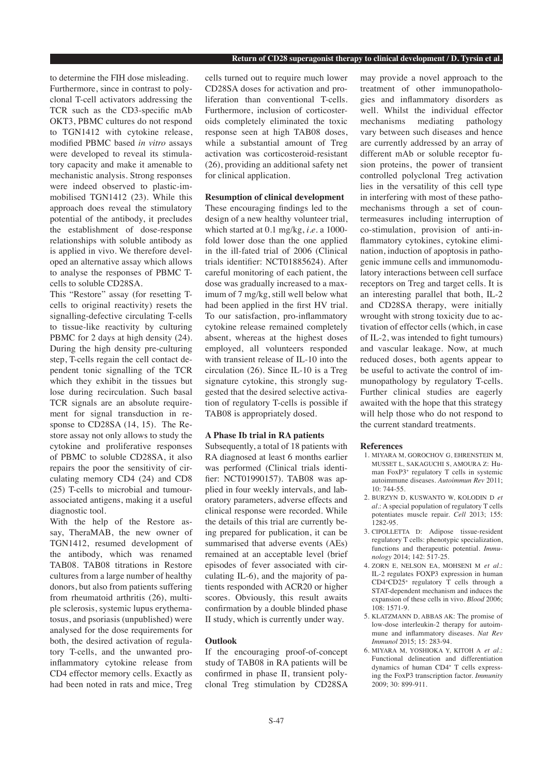to determine the FIH dose misleading. Furthermore, since in contrast to polyclonal T-cell activators addressing the TCR such as the CD3-specific mAb OKT3, PBMC cultures do not respond to TGN1412 with cytokine release, modified PBMC based *in vitro* assays were developed to reveal its stimulatory capacity and make it amenable to mechanistic analysis. Strong responses were indeed observed to plastic-immobilised TGN1412 (23). While this approach does reveal the stimulatory potential of the antibody, it precludes the establishment of dose-response relationships with soluble antibody as is applied in vivo. We therefore developed an alternative assay which allows to analyse the responses of PBMC Tcells to soluble CD28SA.

This "Restore" assay (for resetting Tcells to original reactivity) resets the signalling-defective circulating T-cells to tissue-like reactivity by culturing PBMC for 2 days at high density  $(24)$ . During the high density pre-culturing step, T-cells regain the cell contact dependent tonic signalling of the TCR which they exhibit in the tissues but lose during recirculation. Such basal TCR signals are an absolute requirement for signal transduction in response to CD28SA (14, 15). The Restore assay not only allows to study the cytokine and proliferative responses of PBMC to soluble CD28SA, it also repairs the poor the sensitivity of circulating memory CD4 (24) and CD8 (25) T-cells to microbial and tumourassociated antigens, making it a useful diagnostic tool.

With the help of the Restore assay, TheraMAB, the new owner of TGN1412, resumed development of the antibody, which was renamed TAB08. TAB08 titrations in Restore cultures from a large number of healthy donors, but also from patients suffering from rheumatoid arthritis (26), multiple sclerosis, systemic lupus erythematosus, and psoriasis (unpublished) were analysed for the dose requirements for both, the desired activation of regulatory T-cells, and the unwanted proinflammatory cytokine release from CD4 effector memory cells. Exactly as had been noted in rats and mice, Treg

cells turned out to require much lower CD28SA doses for activation and proliferation than conventional T-cells. Furthermore, inclusion of corticosteroids completely eliminated the toxic response seen at high TAB08 doses, while a substantial amount of Treg activation was corticosteroid-resistant (26), providing an additional safety net for clinical application.

# **Resumption of clinical development**

These encouraging findings led to the design of a new healthy volunteer trial, which started at 0.1 mg/kg, *i.e.* a 1000 fold lower dose than the one applied in the ill-fated trial of 2006 (Clinical trials identifier: NCT01885624). After careful monitoring of each patient, the dose was gradually increased to a maximum of 7 mg/kg, still well below what had been applied in the first HV trial. To our satisfaction, pro-inflammatory cytokine release remained completely absent, whereas at the highest doses employed, all volunteers responded with transient release of IL-10 into the circulation (26). Since IL-10 is a Treg signature cytokine, this strongly suggested that the desired selective activation of regulatory T-cells is possible if TAB08 is appropriately dosed.

## **A Phase Ib trial in RA patients**

Subsequently, a total of 18 patients with RA diagnosed at least 6 months earlier was performed (Clinical trials identifier: NCT01990157). TAB08 was applied in four weekly intervals, and laboratory parameters, adverse effects and clinical response were recorded. While the details of this trial are currently being prepared for publication, it can be summarised that adverse events (AEs) remained at an acceptable level (brief episodes of fever associated with circulating IL-6), and the majority of patients responded with ACR20 or higher scores. Obviously, this result awaits confirmation by a double blinded phase II study, which is currently under way.

## **Outlook**

If the encouraging proof-of-concept study of TAB08 in RA patients will be confirmed in phase II, transient polyclonal Treg stimulation by CD28SA may provide a novel approach to the treatment of other immunopathologies and inflammatory disorders as well. Whilst the individual effector mechanisms mediating pathology vary between such diseases and hence are currently addressed by an array of different mAb or soluble receptor fusion proteins, the power of transient controlled polyclonal Treg activation lies in the versatility of this cell type in interfering with most of these pathomechanisms through a set of countermeasures including interruption of co-stimulation, provision of anti-inflammatory cytokines, cytokine elimination, induction of apoptosis in pathogenic immune cells and immunomodulatory interactions between cell surface receptors on Treg and target cells. It is an interesting parallel that both, IL-2 and CD28SA therapy, were initially wrought with strong toxicity due to activation of effector cells (which, in case of IL-2, was intended to fight tumours) and vascular leakage. Now, at much reduced doses, both agents appear to be useful to activate the control of immunopathology by regulatory T-cells. Further clinical studies are eagerly awaited with the hope that this strategy will help those who do not respond to the current standard treatments.

#### **References**

- 1. MIYARA M, GOROCHOV G, EHRENSTEIN M, MUSSET L, SAKAGUCHI S, AMOURA Z: Human FoxP3+ regulatory T cells in systemic autoimmune diseases. *Autoimmun Rev* 2011; 10: 744-55.
- 2. BURZYN D, KUSWANTO W, KOLODIN D *et al.*: A special population of regulatory T cells potentiates muscle repair. *Cell* 2013; 155: 1282-95.
- 3. CIPOLLETTA D: Adipose tissue-resident regulatory T cells: phenotypic specialization, functions and therapeutic potential. *Immunology* 2014; 142: 517-25.
- 4. ZORN E, NELSON EA, MOHSENI M *et al.*: IL-2 regulates FOXP3 expression in human CD4+CD25+ regulatory T cells through a STAT-dependent mechanism and induces the expansion of these cells in vivo. *Blood* 2006; 108: 1571-9.
- 5. KLATZMANN D, ABBAS AK: The promise of low-dose interleukin-2 therapy for autoimmune and inflammatory diseases. *Nat Rev Immunol* 2015; 15: 283-94.
- 6. MIYARA M, YOSHIOKA Y, KITOH A *et al.*: Functional delineation and differentiation dynamics of human CD4+ T cells expressing the FoxP3 transcription factor. *Immunity* 2009; 30: 899-911.